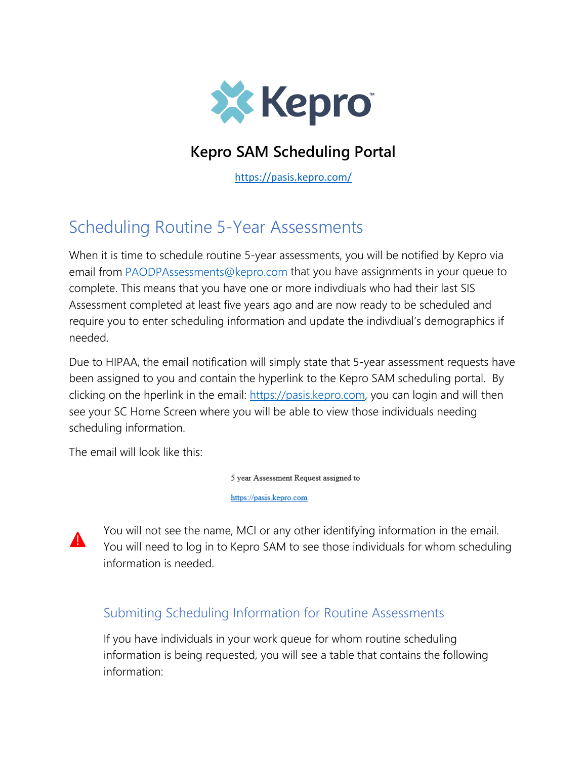

## **Kepro SAM Scheduling Portal**

<https://pasis.kepro.com/>

## Scheduling Routine 5-Year Assessments

When it is time to schedule routine 5-year assessments, you will be notified by Kepro via email from **PAODPAssessments@kepro.com** that you have assignments in your queue to complete. This means that you have one or more indivdiuals who had their last SIS Assessment completed at least five years ago and are now ready to be scheduled and require you to enter scheduling information and update the indivdiual's demographics if needed.

Due to HIPAA, the email notification will simply state that 5-year assessment requests have been assigned to you and contain the hyperlink to the Kepro SAM scheduling portal. By clicking on the hperlink in the email: [https://pasis.kepro.com,](https://pasis.kepro.com/) you can login and will then see your SC Home Screen where you will be able to view those individuals needing scheduling information.

The email will look like this:

5 year Assessment Request assigned to

https://pasis.kepro.com



You will not see the name, MCI or any other identifying information in the email. You will need to log in to Kepro SAM to see those individuals for whom scheduling information is needed.

## Submiting Scheduling Information for Routine Assessments

If you have individuals in your work queue for whom routine scheduling information is being requested, you will see a table that contains the following information: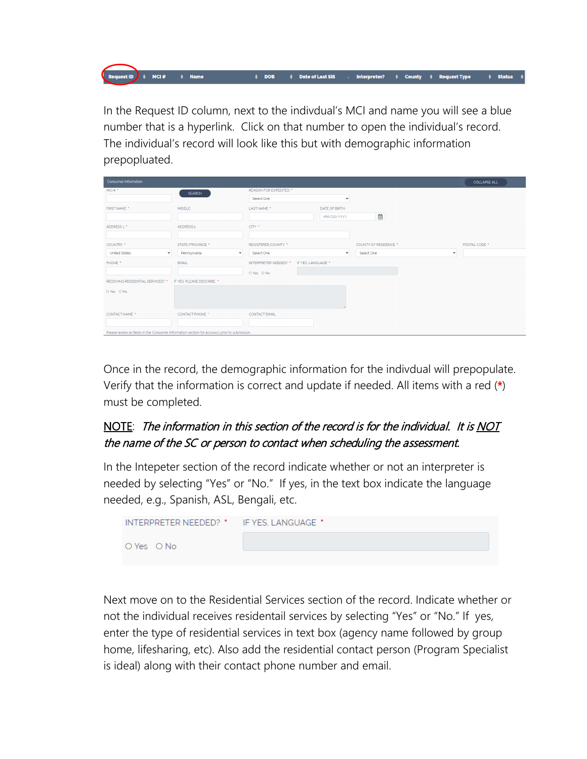In the Request ID column, next to the indivdual's MCI and name you will see a blue number that is a hyperlink. Click on that number to open the individual's record. The individual's record will look like this but with demographic information prepopluated.

♦ Date of Last SIS

 $\div$  DOB

 $\div$  Status

Interpreter?  $\qquad$   $\qquad$  County  $\qquad$  Request Type

 $\frac{1}{2}$  west ID  $\frac{1}{2}$   $\div$  MCI #

 $\div$  Name

| <b>Consumer Information</b>                                                                    |                              |                                             |               |                            | <b>COLLAPSE ALL</b> |  |  |
|------------------------------------------------------------------------------------------------|------------------------------|---------------------------------------------|---------------|----------------------------|---------------------|--|--|
| MCI #                                                                                          | <b>SEARCH</b>                | REASON FOR EXPEDITED *                      |               |                            |                     |  |  |
|                                                                                                |                              | Select One                                  | $\checkmark$  |                            |                     |  |  |
| FIRST NAME *                                                                                   | <b>MIDDLE</b>                | LAST NAME *                                 | DATE OF BIRTH |                            |                     |  |  |
|                                                                                                |                              |                                             | MM/DD/YYYY    | 曲                          |                     |  |  |
| ADDRESS <sub>1</sub> '                                                                         | ADDRESS 2                    | CITY *                                      |               |                            |                     |  |  |
|                                                                                                |                              |                                             |               |                            |                     |  |  |
| COUNTRY *                                                                                      | STATE/PROVINCE *             | <b>REGISTERED COUNTY *</b>                  |               | COUNTY OF RESIDENCE *      | POSTAL CODE *       |  |  |
| <b>United States</b><br>$\check{~}$                                                            | Pennsylvania<br>$\checkmark$ | Select One                                  | $\checkmark$  | Select One<br>$\checkmark$ |                     |  |  |
| PHONE *                                                                                        | <b>EMAIL</b>                 | IF YES, LANGUAGE *<br>INTERPRETER NEEDED? * |               |                            |                     |  |  |
|                                                                                                |                              | O Yes O No                                  |               |                            |                     |  |  |
| RECEIVING RESIDENTIAL SERVICES? * IF YES, PLEASE DESCRIBE. *                                   |                              |                                             |               |                            |                     |  |  |
| O Yes O No                                                                                     |                              |                                             |               |                            |                     |  |  |
|                                                                                                |                              |                                             |               |                            |                     |  |  |
|                                                                                                |                              |                                             |               |                            |                     |  |  |
| CONTACT NAME *                                                                                 | <b>CONTACT PHONE *</b>       | <b>CONTACT EMAIL</b>                        |               |                            |                     |  |  |
|                                                                                                |                              |                                             |               |                            |                     |  |  |
| Please review all fields in the Consumer Information section for accuracy prior to submission. |                              |                                             |               |                            |                     |  |  |

Once in the record, the demographic information for the indivdual will prepopulate. Verify that the information is correct and update if needed. All items with a red (\*) must be completed.

## NOTE: The information in this section of the record is for the individual. It is NOT the name of the SC or person to contact when scheduling the assessment.

In the Intepeter section of the record indicate whether or not an interpreter is needed by selecting "Yes" or "No." If yes, in the text box indicate the language needed, e.g., Spanish, ASL, Bengali, etc.

| INTERPRETER NEEDED? * IF YES, LANGUAGE * |  |
|------------------------------------------|--|
| O Yes O No                               |  |

Next move on to the Residential Services section of the record. Indicate whether or not the individual receives residentail services by selecting "Yes" or "No." If yes, enter the type of residential services in text box (agency name followed by group home, lifesharing, etc). Also add the residential contact person (Program Specialist is ideal) along with their contact phone number and email.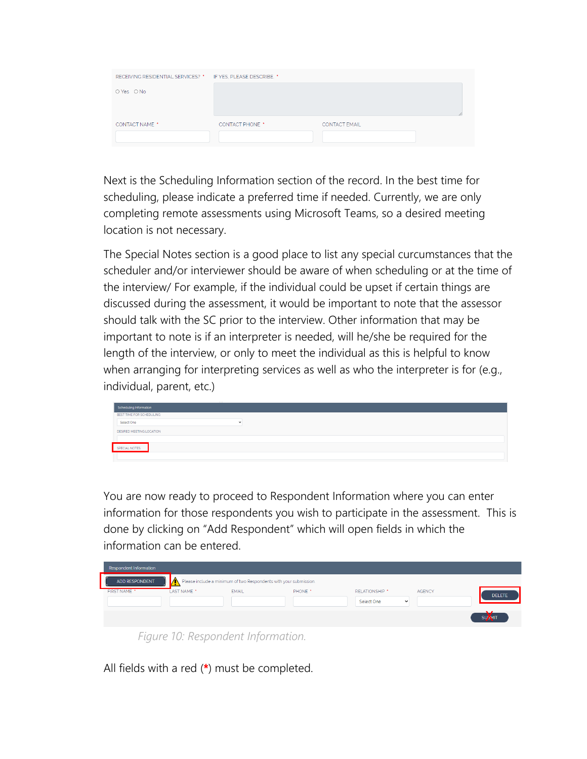| RECEIVING RESIDENTIAL SERVICES? * IF YES. PLEASE DESCRIBE. * |                        |                      |  |
|--------------------------------------------------------------|------------------------|----------------------|--|
| O Yes O No                                                   |                        |                      |  |
|                                                              |                        |                      |  |
| <b>CONTACT NAME *</b>                                        | <b>CONTACT PHONE *</b> | <b>CONTACT EMAIL</b> |  |
|                                                              |                        |                      |  |

Next is the Scheduling Information section of the record. In the best time for scheduling, please indicate a preferred time if needed. Currently, we are only completing remote assessments using Microsoft Teams, so a desired meeting location is not necessary.

The Special Notes section is a good place to list any special curcumstances that the scheduler and/or interviewer should be aware of when scheduling or at the time of the interview/ For example, if the individual could be upset if certain things are discussed during the assessment, it would be important to note that the assessor should talk with the SC prior to the interview. Other information that may be important to note is if an interpreter is needed, will he/she be required for the length of the interview, or only to meet the individual as this is helpful to know when arranging for interpreting services as well as who the interpreter is for (e.g., individual, parent, etc.)



You are now ready to proceed to Respondent Information where you can enter information for those respondents you wish to participate in the assessment. This is done by clicking on "Add Respondent" which will open fields in which the information can be entered.

| Respondent Information |                        |                                                                   |         |                |               |                |
|------------------------|------------------------|-------------------------------------------------------------------|---------|----------------|---------------|----------------|
| ADD RESPONDENT         | IA                     | Please include a minimum of two Respondents with your submission. |         |                |               |                |
| <b>FIRST NAME *</b>    | LAST NAME <sup>*</sup> | <b>EMAIL</b>                                                      | PHONE * | RELATIONSHIP * | <b>AGENCY</b> | <b>DELETE</b>  |
|                        |                        |                                                                   |         | Select One     | $\check{ }$   |                |
|                        |                        |                                                                   |         |                |               | <b>SULVIIT</b> |
|                        |                        | Figura 10: Decondent Information                                  |         |                |               |                |

*Figure 10: Respondent Information.*

All fields with a red (\*) must be completed.